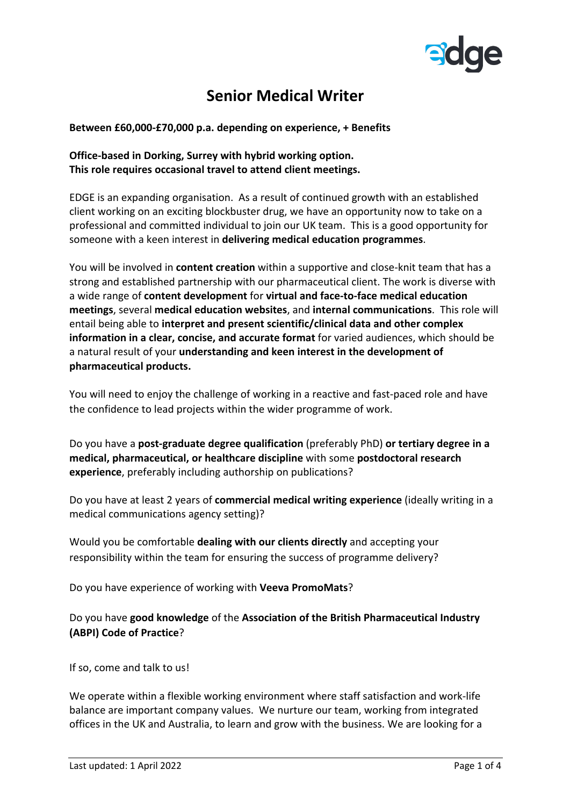

## **Senior Medical Writer**

**Between £60,000-£70,000 p.a. depending on experience, + Benefits**

## **Office-based in Dorking, Surrey with hybrid working option. This role requires occasional travel to attend client meetings.**

EDGE is an expanding organisation. As a result of continued growth with an established client working on an exciting blockbuster drug, we have an opportunity now to take on a professional and committed individual to join our UK team. This is a good opportunity for someone with a keen interest in **delivering medical education programmes**.

You will be involved in **content creation** within a supportive and close-knit team that has a strong and established partnership with our pharmaceutical client. The work is diverse with a wide range of **content development** for **virtual and face-to-face medical education meetings**, several **medical education websites**, and **internal communications**. This role will entail being able to **interpret and present scientific/clinical data and other complex information in a clear, concise, and accurate format** for varied audiences, which should be a natural result of your **understanding and keen interest in the development of pharmaceutical products.**

You will need to enjoy the challenge of working in a reactive and fast-paced role and have the confidence to lead projects within the wider programme of work.

Do you have a **post-graduate degree qualification** (preferably PhD) **or tertiary degree in a medical, pharmaceutical, or healthcare discipline** with some **postdoctoral research experience**, preferably including authorship on publications?

Do you have at least 2 years of **commercial medical writing experience** (ideally writing in a medical communications agency setting)?

Would you be comfortable **dealing with our clients directly** and accepting your responsibility within the team for ensuring the success of programme delivery?

Do you have experience of working with **Veeva PromoMats**?

Do you have **good knowledge** of the **Association of the British Pharmaceutical Industry (ABPI) Code of Practice**?

If so, come and talk to us!

We operate within a flexible working environment where staff satisfaction and work-life balance are important company values. We nurture our team, working from integrated offices in the UK and Australia, to learn and grow with the business. We are looking for a